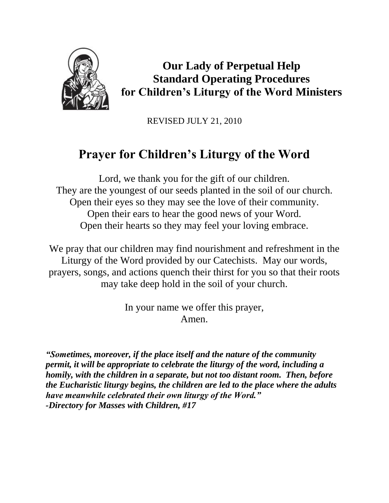

**Our Lady of Perpetual Help Standard Operating Procedures for Children's Liturgy of the Word Ministers**

REVISED JULY 21, 2010

# **Prayer for Children's Liturgy of the Word**

Lord, we thank you for the gift of our children. They are the youngest of our seeds planted in the soil of our church. Open their eyes so they may see the love of their community. Open their ears to hear the good news of your Word. Open their hearts so they may feel your loving embrace.

We pray that our children may find nourishment and refreshment in the Liturgy of the Word provided by our Catechists. May our words, prayers, songs, and actions quench their thirst for you so that their roots may take deep hold in the soil of your church.

> In your name we offer this prayer, Amen.

*"Sometimes, moreover, if the place itself and the nature of the community permit, it will be appropriate to celebrate the liturgy of the word, including a homily, with the children in a separate, but not too distant room. Then, before the Eucharistic liturgy begins, the children are led to the place where the adults have meanwhile celebrated their own liturgy of the Word." -Directory for Masses with Children, #17*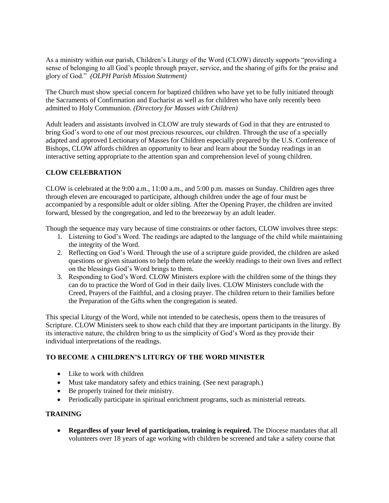As a ministry within our parish, Children's Liturgy of the Word (CLOW) directly supports "providing a sense of belonging to all God's people through prayer, service, and the sharing of gifts for the praise and glory of God." *(OLPH Parish Mission Statement)*

The Church must show special concern for baptized children who have yet to be fully initiated through the Sacraments of Confirmation and Eucharist as well as for children who have only recently been admitted to Holy Communion. *(Directory for Masses with Children)*

Adult leaders and assistants involved in CLOW are truly stewards of God in that they are entrusted to bring God's word to one of our most precious resources, our children. Through the use of a specially adapted and approved Lectionary of Masses for Children especially prepared by the U.S. Conference of Bishops, CLOW affords children an opportunity to hear and learn about the Sunday readings in an interactive setting appropriate to the attention span and comprehension level of young children.

## **CLOW CELEBRATION**

CLOW is celebrated at the 9:00 a.m., 11:00 a.m., and 5:00 p.m. masses on Sunday. Children ages three through eleven are encouraged to participate, although children under the age of four must be accompanied by a responsible adult or older sibling. After the Opening Prayer, the children are invited forward, blessed by the congregation, and led to the breezeway by an adult leader.

Though the sequence may vary because of time constraints or other factors, CLOW involves three steps:

- 1. Listening to God's Word. The readings are adapted to the language of the child while maintaining the integrity of the Word.
- 2. Reflecting on God's Word. Through the use of a scripture guide provided, the children are asked questions or given situations to help them relate the weekly readings to their own lives and reflect on the blessings God's Word brings to them.
- 3. Responding to God's Word. CLOW Ministers explore with the children some of the things they can do to practice the Word of God in their daily lives. CLOW Ministers conclude with the Creed, Prayers of the Faithful, and a closing prayer. The children return to their families before the Preparation of the Gifts when the congregation is seated.

This special Liturgy of the Word, while not intended to be catechesis, opens them to the treasures of Scripture. CLOW Ministers seek to show each child that they are important participants in the liturgy. By its interactive nature, the children bring to us the simplicity of God's Word as they provide their individual interpretations of the readings.

#### **TO BECOME A CHILDREN'S LITURGY OF THE WORD MINISTER**

- Like to work with children
- Must take mandatory safety and ethics training. (See next paragraph.)
- Be properly trained for their ministry.
- Periodically participate in spiritual enrichment programs, such as ministerial retreats.

# **TRAINING**

 **Regardless of your level of participation, training is required.** The Diocese mandates that all volunteers over 18 years of age working with children be screened and take a safety course that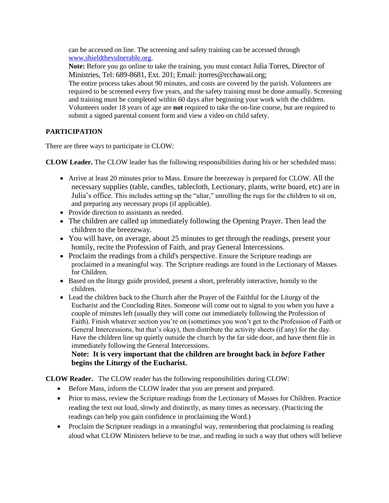can be accessed on line. The screening and safety training can be accessed through [www.shieldthevulnerable.org.](http://www.shieldthevulnerable.org/)

**Note:** Before you go online to take the training, you must contact Julia Torres, Director of Ministries, Tel: 689-8681, Ext. 201; Email: jtorres@rcchawaii.org;

The entire process takes about 90 minutes, and costs are covered by the parish. Volunteers are required to be screened every five years, and the safety training must be done annually. Screening and training must be completed within 60 days after beginning your work with the children. Volunteers under 18 years of age are **not** required to take the on-line course, but are required to submit a signed parental consent form and view a video on child safety.

# **PARTICIPATION**

There are three ways to participate in CLOW:

**CLOW Leader.** The CLOW leader has the following responsibilities during his or her scheduled mass:

- Arrive at least 20 minutes prior to Mass. Ensure the breezeway is prepared for CLOW. All the necessary supplies (table, candles, tablecloth, Lectionary, plants, write board, etc) are in Julia's office. This includes setting up the "altar," unrolling the rugs for the children to sit on, and preparing any necessary props (if applicable).
- Provide direction to assistants as needed.
- The children are called up immediately following the Opening Prayer. Then lead the children to the breezeway.
- You will have, on average, about 25 minutes to get through the readings, present your homily, recite the Profession of Faith, and pray General Intercessions.
- Proclaim the readings from a child's perspective. Ensure the Scripture readings are proclaimed in a meaningful way. The Scripture readings are found in the Lectionary of Masses for Children.
- Based on the liturgy guide provided, present a short, preferably interactive, homily to the children.
- Lead the children back to the Church after the Prayer of the Faithful for the Liturgy of the Eucharist and the Concluding Rites. Someone will come out to signal to you when you have a couple of minutes left (usually they will come out immediately following the Profession of Faith). Finish whatever section you're on (sometimes you won't get to the Profession of Faith or General Intercessions, but that's okay), then distribute the activity sheets (if any) for the day. Have the children line up quietly outside the church by the far side door, and have them file in immediately following the General Intercessions.

**Note: It is very important that the children are brought back in** *before* **Father begins the Liturgy of the Eucharist.**

**CLOW Reader.** The CLOW reader has the following responsibilities during CLOW:

- Before Mass, inform the CLOW leader that you are present and prepared.
- Prior to mass, review the Scripture readings from the Lectionary of Masses for Children. Practice reading the text out loud, slowly and distinctly, as many times as necessary. (Practicing the readings can help you gain confidence in proclaiming the Word.)
- Proclaim the Scripture readings in a meaningful way, remembering that proclaiming is reading aloud what CLOW Ministers believe to be true, and reading in such a way that others will believe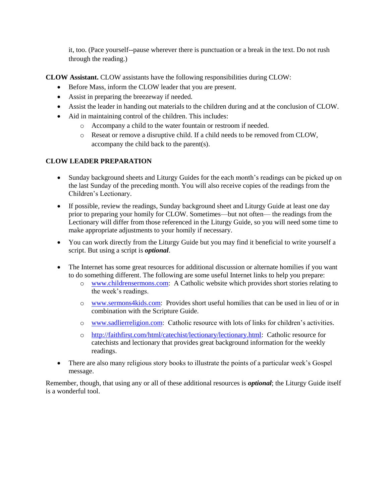it, too. (Pace yourself--pause wherever there is punctuation or a break in the text. Do not rush through the reading.)

**CLOW Assistant.** CLOW assistants have the following responsibilities during CLOW:

- Before Mass, inform the CLOW leader that you are present.
- Assist in preparing the breezeway if needed.
- Assist the leader in handing out materials to the children during and at the conclusion of CLOW.
- Aid in maintaining control of the children. This includes:
	- o Accompany a child to the water fountain or restroom if needed.
	- o Reseat or remove a disruptive child. If a child needs to be removed from CLOW, accompany the child back to the parent(s).

## **CLOW LEADER PREPARATION**

- Sunday background sheets and Liturgy Guides for the each month's readings can be picked up on the last Sunday of the preceding month. You will also receive copies of the readings from the Children's Lectionary.
- If possible, review the readings, Sunday background sheet and Liturgy Guide at least one day prior to preparing your homily for CLOW. Sometimes—but not often— the readings from the Lectionary will differ from those referenced in the Liturgy Guide, so you will need some time to make appropriate adjustments to your homily if necessary.
- You can work directly from the Liturgy Guide but you may find it beneficial to write yourself a script. But using a script is *optional*.
- The Internet has some great resources for additional discussion or alternate homilies if you want to do something different. The following are some useful Internet links to help you prepare:
	- o [www.childrensermons.com:](http://www.childrensermons.com/) A Catholic website which provides short stories relating to the week's readings.
	- o [www.sermons4kids.com:](http://www.sermons4kids.com/) Provides short useful homilies that can be used in lieu of or in combination with the Scripture Guide.
	- o [www.sadlierreligion.com:](http://www.sadlierreligion.com/) Catholic resource with lots of links for children's activities.
	- o [http://faithfirst.com/html/catechist/lectionary/lectionary.html:](http://faithfirst.com/html/catechist/lectionary/lectionary.html) Catholic resource for catechists and lectionary that provides great background information for the weekly readings.
- There are also many religious story books to illustrate the points of a particular week's Gospel message.

Remember, though, that using any or all of these additional resources is *optional*; the Liturgy Guide itself is a wonderful tool.